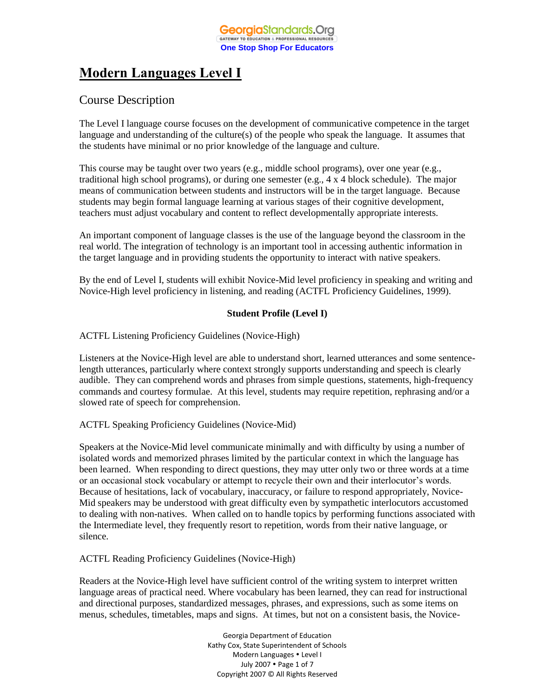# **Modern Languages Level I**

# Course Description

The Level I language course focuses on the development of communicative competence in the target language and understanding of the culture(s) of the people who speak the language. It assumes that the students have minimal or no prior knowledge of the language and culture.

This course may be taught over two years (e.g., middle school programs), over one year (e.g., traditional high school programs), or during one semester (e.g., 4 x 4 block schedule). The major means of communication between students and instructors will be in the target language. Because students may begin formal language learning at various stages of their cognitive development, teachers must adjust vocabulary and content to reflect developmentally appropriate interests.

An important component of language classes is the use of the language beyond the classroom in the real world. The integration of technology is an important tool in accessing authentic information in the target language and in providing students the opportunity to interact with native speakers.

By the end of Level I, students will exhibit Novice-Mid level proficiency in speaking and writing and Novice-High level proficiency in listening, and reading (ACTFL Proficiency Guidelines, 1999).

## **Student Profile (Level I)**

ACTFL Listening Proficiency Guidelines (Novice-High)

Listeners at the Novice-High level are able to understand short, learned utterances and some sentencelength utterances, particularly where context strongly supports understanding and speech is clearly audible. They can comprehend words and phrases from simple questions, statements, high-frequency commands and courtesy formulae. At this level, students may require repetition, rephrasing and/or a slowed rate of speech for comprehension.

## ACTFL Speaking Proficiency Guidelines (Novice-Mid)

Speakers at the Novice-Mid level communicate minimally and with difficulty by using a number of isolated words and memorized phrases limited by the particular context in which the language has been learned. When responding to direct questions, they may utter only two or three words at a time or an occasional stock vocabulary or attempt to recycle their own and their interlocutor's words. Because of hesitations, lack of vocabulary, inaccuracy, or failure to respond appropriately, Novice-Mid speakers may be understood with great difficulty even by sympathetic interlocutors accustomed to dealing with non-natives. When called on to handle topics by performing functions associated with the Intermediate level, they frequently resort to repetition, words from their native language, or silence.

ACTFL Reading Proficiency Guidelines (Novice-High)

Readers at the Novice-High level have sufficient control of the writing system to interpret written language areas of practical need. Where vocabulary has been learned, they can read for instructional and directional purposes, standardized messages, phrases, and expressions, such as some items on menus, schedules, timetables, maps and signs. At times, but not on a consistent basis, the Novice-

> Georgia Department of Education Kathy Cox, State Superintendent of Schools Modern Languages • Level I July 2007 • Page 1 of 7 Copyright 2007 © All Rights Reserved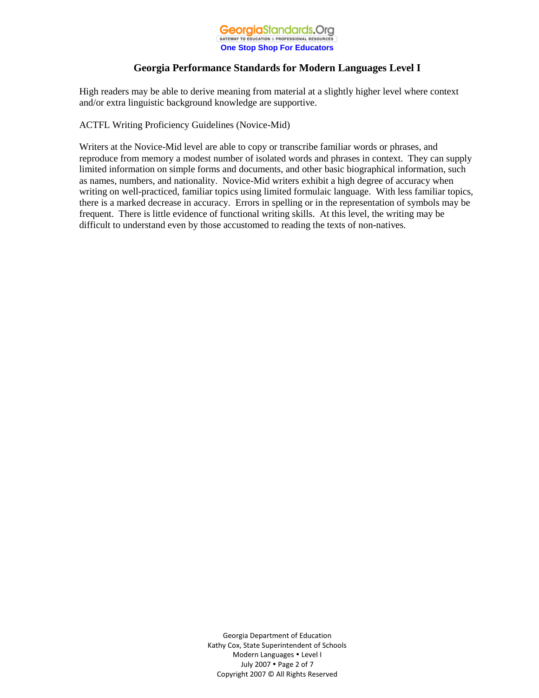

High readers may be able to derive meaning from material at a slightly higher level where context and/or extra linguistic background knowledge are supportive.

ACTFL Writing Proficiency Guidelines (Novice-Mid)

Writers at the Novice-Mid level are able to copy or transcribe familiar words or phrases, and reproduce from memory a modest number of isolated words and phrases in context. They can supply limited information on simple forms and documents, and other basic biographical information, such as names, numbers, and nationality. Novice-Mid writers exhibit a high degree of accuracy when writing on well-practiced, familiar topics using limited formulaic language. With less familiar topics, there is a marked decrease in accuracy. Errors in spelling or in the representation of symbols may be frequent. There is little evidence of functional writing skills. At this level, the writing may be difficult to understand even by those accustomed to reading the texts of non-natives.

> Georgia Department of Education Kathy Cox, State Superintendent of Schools Modern Languages Level I July 2007 Page 2 of 7 Copyright 2007 © All Rights Reserved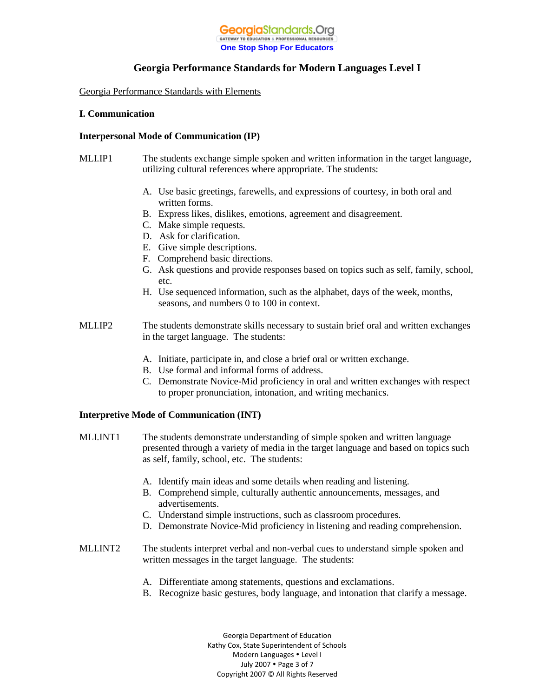

Georgia Performance Standards with Elements

## **I. Communication**

## **Interpersonal Mode of Communication (IP)**

- MLI.IP1 The students exchange simple spoken and written information in the target language, utilizing cultural references where appropriate. The students:
	- A. Use basic greetings, farewells, and expressions of courtesy, in both oral and written forms.
	- B. Express likes, dislikes, emotions, agreement and disagreement.
	- C. Make simple requests.
	- D. Ask for clarification.
	- E. Give simple descriptions.
	- F. Comprehend basic directions.
	- G. Ask questions and provide responses based on topics such as self, family, school, etc.
	- H. Use sequenced information, such as the alphabet, days of the week, months, seasons, and numbers 0 to 100 in context.
- MLI.IP2 The students demonstrate skills necessary to sustain brief oral and written exchanges in the target language. The students:
	- A. Initiate, participate in, and close a brief oral or written exchange.
	- B. Use formal and informal forms of address.
	- C. Demonstrate Novice-Mid proficiency in oral and written exchanges with respect to proper pronunciation, intonation, and writing mechanics.

## **Interpretive Mode of Communication (INT)**

- MLI.INT1 The students demonstrate understanding of simple spoken and written language presented through a variety of media in the target language and based on topics such as self, family, school, etc. The students:
	- A. Identify main ideas and some details when reading and listening.
	- B. Comprehend simple, culturally authentic announcements, messages, and advertisements.
	- C. Understand simple instructions, such as classroom procedures.
	- D. Demonstrate Novice-Mid proficiency in listening and reading comprehension.
- MLI.INT2 The students interpret verbal and non-verbal cues to understand simple spoken and written messages in the target language. The students:
	- A. Differentiate among statements, questions and exclamations.
	- B. Recognize basic gestures, body language, and intonation that clarify a message.

Georgia Department of Education Kathy Cox, State Superintendent of Schools Modern Languages Level I July 2007 • Page 3 of 7 Copyright 2007 © All Rights Reserved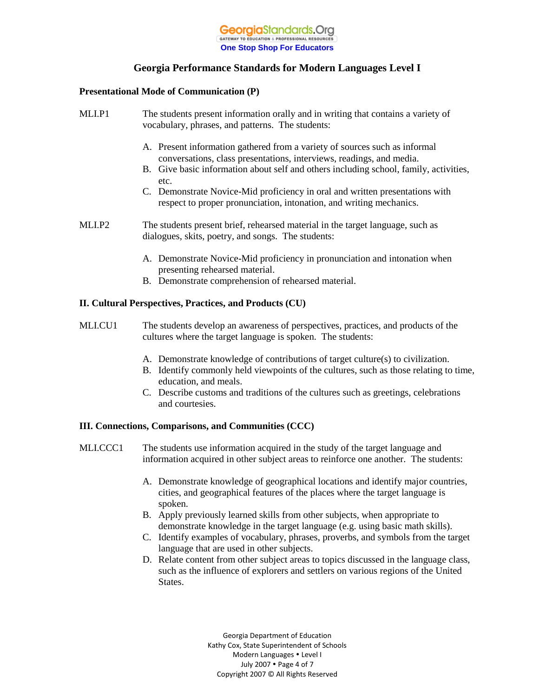

#### **Presentational Mode of Communication (P)**

| MLI.P1 | The students present information orally and in writing that contains a variety of<br>vocabulary, phrases, and patterns. The students:                                                                                                                                                                                                                                                                                                                                                               |
|--------|-----------------------------------------------------------------------------------------------------------------------------------------------------------------------------------------------------------------------------------------------------------------------------------------------------------------------------------------------------------------------------------------------------------------------------------------------------------------------------------------------------|
|        | A. Present information gathered from a variety of sources such as informal<br>conversations, class presentations, interviews, readings, and media.<br>B. Give basic information about self and others including school, family, activities,<br>etc.<br>C. Demonstrate Novice-Mid proficiency in oral and written presentations with<br>respect to proper pronunciation, intonation, and writing mechanics.                                                                                          |
| MLI.P2 | The students present brief, rehearsed material in the target language, such as<br>dialogues, skits, poetry, and songs. The students:<br>$\mathbf{A}$ is the set of $\mathbf{A}$ is the set of $\mathbf{A}$ is the set of $\mathbf{A}$ is the set of $\mathbf{A}$<br>$\sim$ . The contract of the contract of the contract of the contract of the contract of the contract of the contract of the contract of the contract of the contract of the contract of the contract of the contract of the co |

- A. Demonstrate Novice-Mid proficiency in pronunciation and intonation when presenting rehearsed material.
- B. Demonstrate comprehension of rehearsed material.

## **II. Cultural Perspectives, Practices, and Products (CU)**

- MLI.CU1 The students develop an awareness of perspectives, practices, and products of the cultures where the target language is spoken. The students:
	- A. Demonstrate knowledge of contributions of target culture(s) to civilization.
	- B. Identify commonly held viewpoints of the cultures, such as those relating to time, education, and meals.
	- C. Describe customs and traditions of the cultures such as greetings, celebrations and courtesies.

## **III. Connections, Comparisons, and Communities (CCC)**

- MLI.CCC1 The students use information acquired in the study of the target language and information acquired in other subject areas to reinforce one another. The students:
	- A. Demonstrate knowledge of geographical locations and identify major countries, cities, and geographical features of the places where the target language is spoken.
	- B. Apply previously learned skills from other subjects, when appropriate to demonstrate knowledge in the target language (e.g. using basic math skills).
	- C. Identify examples of vocabulary, phrases, proverbs, and symbols from the target language that are used in other subjects.
	- D. Relate content from other subject areas to topics discussed in the language class, such as the influence of explorers and settlers on various regions of the United States.

Georgia Department of Education Kathy Cox, State Superintendent of Schools Modern Languages Level I July 2007 • Page 4 of 7 Copyright 2007 © All Rights Reserved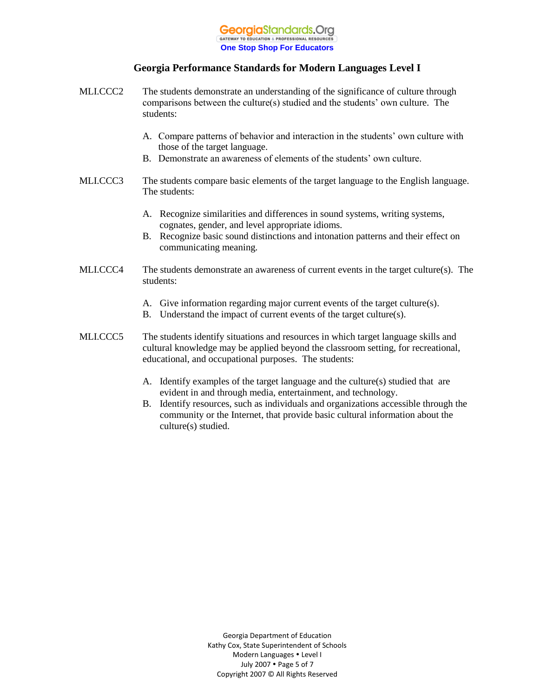

- MLI.CCC2 The students demonstrate an understanding of the significance of culture through comparisons between the culture(s) studied and the students' own culture. The students:
	- A. Compare patterns of behavior and interaction in the students' own culture with those of the target language.
	- B. Demonstrate an awareness of elements of the students' own culture.
- MLI.CCC3 The students compare basic elements of the target language to the English language. The students:
	- A. Recognize similarities and differences in sound systems, writing systems, cognates, gender, and level appropriate idioms.
	- B. Recognize basic sound distinctions and intonation patterns and their effect on communicating meaning.
- MLI.CCC4 The students demonstrate an awareness of current events in the target culture(s). The students:
	- A. Give information regarding major current events of the target culture(s).
	- B. Understand the impact of current events of the target culture(s).
- MLI.CCC5 The students identify situations and resources in which target language skills and cultural knowledge may be applied beyond the classroom setting, for recreational, educational, and occupational purposes. The students:
	- A. Identify examples of the target language and the culture(s) studied that are evident in and through media, entertainment, and technology.
	- B. Identify resources, such as individuals and organizations accessible through the community or the Internet, that provide basic cultural information about the culture(s) studied.

Georgia Department of Education Kathy Cox, State Superintendent of Schools Modern Languages Level I July 2007 • Page 5 of 7 Copyright 2007 © All Rights Reserved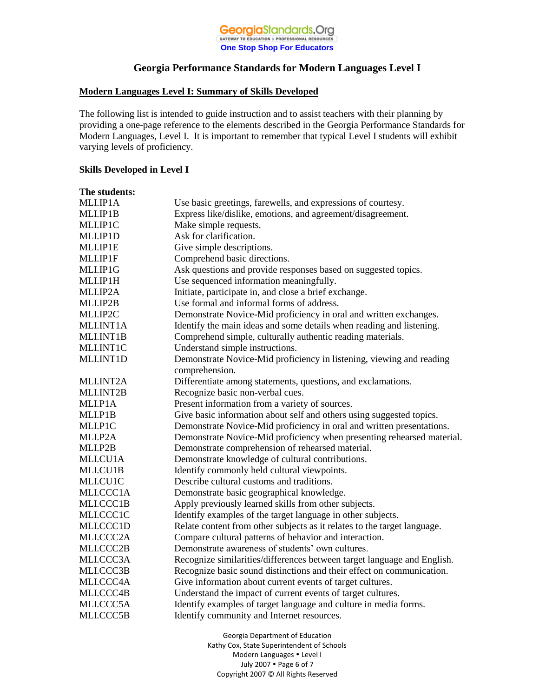

#### **Modern Languages Level I: Summary of Skills Developed**

The following list is intended to guide instruction and to assist teachers with their planning by providing a one-page reference to the elements described in the Georgia Performance Standards for Modern Languages, Level I. It is important to remember that typical Level I students will exhibit varying levels of proficiency.

#### **Skills Developed in Level I**

| The students: |                                                                          |
|---------------|--------------------------------------------------------------------------|
| MLI.IP1A      | Use basic greetings, farewells, and expressions of courtesy.             |
| MLI.IP1B      | Express like/dislike, emotions, and agreement/disagreement.              |
| MLI.IP1C      | Make simple requests.                                                    |
| MLI.IP1D      | Ask for clarification.                                                   |
| MLI.IP1E      | Give simple descriptions.                                                |
| MLI.IP1F      | Comprehend basic directions.                                             |
| MLI.IP1G      | Ask questions and provide responses based on suggested topics.           |
| MLI.IP1H      | Use sequenced information meaningfully.                                  |
| MLI.IP2A      | Initiate, participate in, and close a brief exchange.                    |
| MLI.IP2B      | Use formal and informal forms of address.                                |
| MLI.IP2C      | Demonstrate Novice-Mid proficiency in oral and written exchanges.        |
| MLI.INT1A     | Identify the main ideas and some details when reading and listening.     |
| MLI.INT1B     | Comprehend simple, culturally authentic reading materials.               |
| MLI.INT1C     | Understand simple instructions.                                          |
| MLI.INT1D     | Demonstrate Novice-Mid proficiency in listening, viewing and reading     |
|               | comprehension.                                                           |
| MLI.INT2A     | Differentiate among statements, questions, and exclamations.             |
| MLI.INT2B     | Recognize basic non-verbal cues.                                         |
| MLI.P1A       | Present information from a variety of sources.                           |
| MLI.P1B       | Give basic information about self and others using suggested topics.     |
| MLI.P1C       | Demonstrate Novice-Mid proficiency in oral and written presentations.    |
| MLI.P2A       | Demonstrate Novice-Mid proficiency when presenting rehearsed material.   |
| MLI.P2B       | Demonstrate comprehension of rehearsed material.                         |
| MLI.CU1A      | Demonstrate knowledge of cultural contributions.                         |
| MLI.CU1B      | Identify commonly held cultural viewpoints.                              |
| MLI.CU1C      | Describe cultural customs and traditions.                                |
| MLI.CCC1A     | Demonstrate basic geographical knowledge.                                |
| MLI.CCC1B     | Apply previously learned skills from other subjects.                     |
| MLI.CCC1C     | Identify examples of the target language in other subjects.              |
| MLI.CCC1D     | Relate content from other subjects as it relates to the target language. |
| MLI.CCC2A     | Compare cultural patterns of behavior and interaction.                   |
| MLI.CCC2B     | Demonstrate awareness of students' own cultures.                         |
| MLI.CCC3A     | Recognize similarities/differences between target language and English.  |
| MLI.CCC3B     | Recognize basic sound distinctions and their effect on communication.    |
| MLI.CCC4A     | Give information about current events of target cultures.                |
| MLI.CCC4B     | Understand the impact of current events of target cultures.              |
| MLI.CCC5A     | Identify examples of target language and culture in media forms.         |
| MLI.CCC5B     | Identify community and Internet resources.                               |

Georgia Department of Education Kathy Cox, State Superintendent of Schools Modern Languages . Level I July 2007 Page 6 of 7 Copyright 2007 © All Rights Reserved